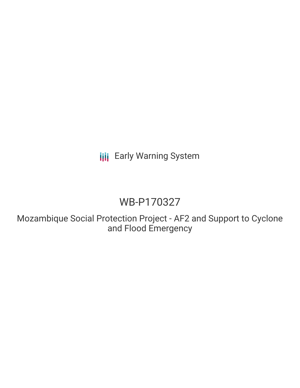**III** Early Warning System

# WB-P170327

Mozambique Social Protection Project - AF2 and Support to Cyclone and Flood Emergency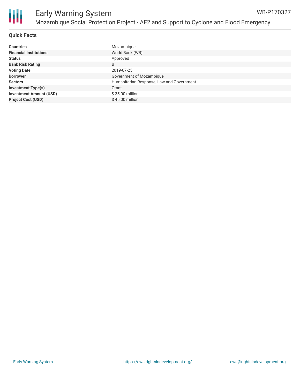

# **Quick Facts**

| <b>Countries</b>               | Mozambique                                |
|--------------------------------|-------------------------------------------|
| <b>Financial Institutions</b>  | World Bank (WB)                           |
| <b>Status</b>                  | Approved                                  |
| <b>Bank Risk Rating</b>        | B                                         |
| <b>Voting Date</b>             | 2019-07-25                                |
| <b>Borrower</b>                | Government of Mozambique                  |
| <b>Sectors</b>                 | Humanitarian Response, Law and Government |
| <b>Investment Type(s)</b>      | Grant                                     |
| <b>Investment Amount (USD)</b> | $$35.00$ million                          |
| <b>Project Cost (USD)</b>      | \$45.00 million                           |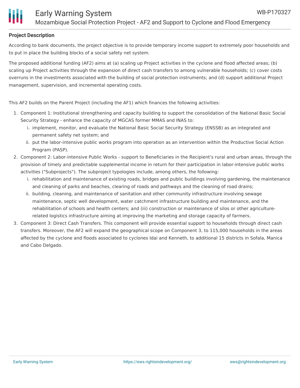

## **Project Description**

According to bank documents, the project objective is to provide temporary income support to extremely poor households and to put in place the building blocks of a social safety net system.

The proposed additional funding (AF2) aims at (a) scaling up Project activities in the cyclone and flood affected areas; (b) scaling up Project activities through the expansion of direct cash transfers to among vulnerable households; (c) cover costs overruns in the investments associated with the building of social protection instruments; and (d) support additional Project management, supervision, and incremental operating costs.

This AF2 builds on the Parent Project (including the AF1) which finances the following activities:

- 1. Component 1: Institutional strengthening and capacity building to support the consolidation of the National Basic Social Security Strategy - enhance the capacity of MGCAS former MMAS and INAS to:
	- i. implement, monitor, and evaluate the National Basic Social Security Strategy (ENSSB) as an integrated and permanent safety net system; and
	- ii. put the labor-intensive public works program into operation as an intervention within the Productive Social Action Program (PASP).
- 2. Component 2: Labor-intensive Public Works support to Beneficiaries in the Recipient's rural and urban areas, through the provision of timely and predictable supplemental income in return for their participation in labor-intensive public works activities ("Subprojects"). The subproject typologies include, among others, the following:
	- i. rehabilitation and maintenance of existing roads, bridges and public buildings involving gardening, the maintenance and cleaning of parks and beaches, clearing of roads and pathways and the cleaning of road drains;
	- ii. building, cleaning, and maintenance of sanitation and other community infrastructure involving sewage maintenance, septic well development, water catchment infrastructure building and maintenance, and the rehabilitation of schools and health centers; and (iii) construction or maintenance of silos or other agriculturerelated logistics infrastructure aiming at improving the marketing and storage capacity of farmers.
- 3. Component 3: Direct Cash Transfers. This component will provide essential support to households through direct cash transfers. Moreover, the AF2 will expand the geographical scope on Component 3, to 115,000 households in the areas affected by the cyclone and floods associated to cyclones Idai and Kenneth, to additional 15 districts in Sofala, Manica and Cabo Delgado.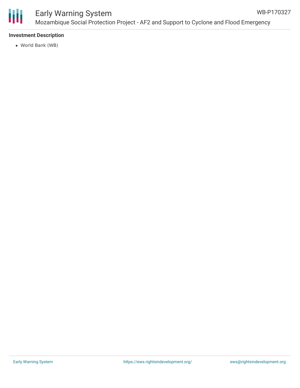

#### Early Warning System Mozambique Social Protection Project - AF2 and Support to Cyclone and Flood Emergency WB-P170327

## **Investment Description**

World Bank (WB)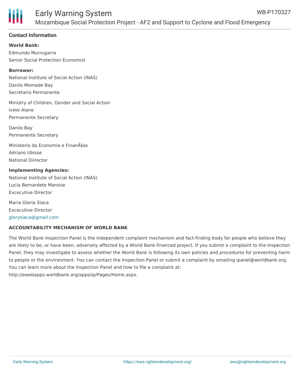

#### **Contact Information**

**World Bank:** Edmundo Murrugarra Senior Social Protection Economist

# **Borrower:**

National Institute of Social Action (INAS) Danilo Momade Bay Secretario Permanente

Ministry of Children, Gender and Social Action Ivete Alane Permanente Secretary

Danilo Bay Permanente Secretary

Ministerio da Economia e Finanças Adriano Ubisse National Diirector

**Implementing Agencies:** National Institute of Social Action (INAS) Lucia Bernardete Maroise Excecutive Director

Maria Gloria Siaca Excecutive Director [glorysiaca@gmail.com](mailto:glorysiaca@gmail.com)

#### **ACCOUNTABILITY MECHANISM OF WORLD BANK**

The World Bank Inspection Panel is the independent complaint mechanism and fact-finding body for people who believe they are likely to be, or have been, adversely affected by a World Bank-financed project. If you submit a complaint to the Inspection Panel, they may investigate to assess whether the World Bank is following its own policies and procedures for preventing harm to people or the environment. You can contact the Inspection Panel or submit a complaint by emailing ipanel@worldbank.org. You can learn more about the Inspection Panel and how to file a complaint at: http://ewebapps.worldbank.org/apps/ip/Pages/Home.aspx.